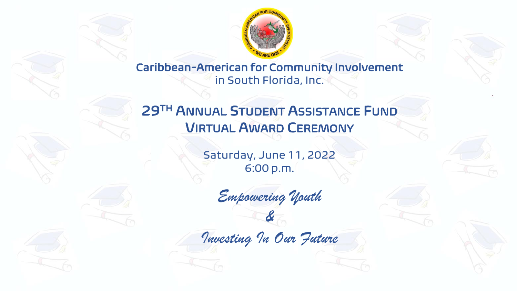

Caribbean-American for Community Involvement in South Florida, Inc.

# 29TH ANNUAL STUDENT ASSISTANCE FUND VIRTUAL AWARD CEREMONY

Saturday, June 11, 2022 6:00 p.m.

*Empowering Youth &*

*Investing In Our Future*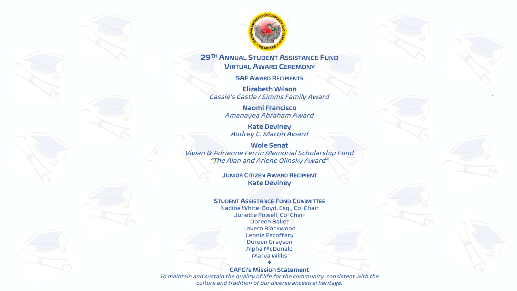

#### 29TH ANNUAL STUDENT ASSISTANCE FUND VIRTUAL AWARD CEREMONY

SAF AWARD RECIPIENTS

Elizabeth Wilson *Cassie's Castle / Simms Family Award*

> Naomi Francisco *Amanayea Abraham Award*

Kate Deviney *Audrey C. Martin Award*

Wole Senat *Vivian & Adrienne Ferrin Memorial Scholarship Fund "The Alan and Arlene Olinsky Award"*

> JUNIOR CITIZEN AWARD RECIPIENT Kate Deviney

#### STUDENT ASSISTANCE FUND COMMITTEE

Nadine White-Boyd, Esq., Co-Chair Junette Powell, Co-Chair Doreen Baker Lavern Blackwood Leonie Escoffery Doreen Grayson Alpha McDonald Marva Wilks

♦ CAFCI's Mission Statement

*To maintain and sustain the quality of life for the community, consistent with the culture and tradition of our diverse ancestral heritage.*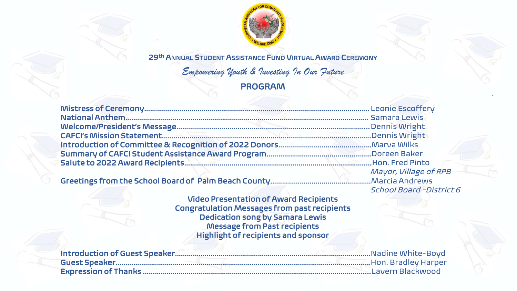

29th ANNUAL STUDENT ASSISTANCE FUND VIRTUAL AWARD CEREMONY

*Empowering Youth & Investing In Our Future* PROGRAM

| Mayor, Village of RPB |
|-----------------------|

Greetings from the School Board of Palm Beach County……………………………………………Marcia Andrews

Video Presentation of Award Recipients Congratulation Messages from past recipients Dedication song by Samara Lewis Message from Past recipients Highlight of recipients and sponsor

*School Board -District 6*

| Introduction of Guest Speaker |
|-------------------------------|
|                               |
| Expression of Thanks          |

Introduction of Guest Speaker………………………………………………………………………………………Nadine White-Boyd Guest Speaker…………………………………………………………………………………………………………………Hon. Bradley Harper Expression of Thanks ……………………………………………………………………………………………..........Lavern Blackwood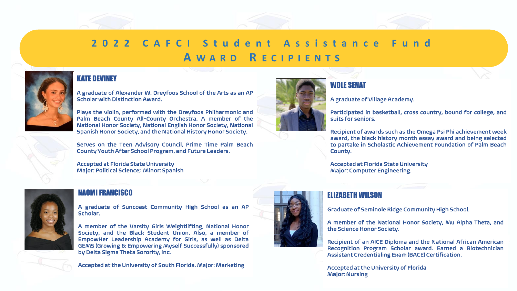# 2022 CAFCI Student Assistance **A W A R D R E C I P I E N T S**



# KATE DEVINEY

A graduate of Alexander W. Dreyfoos School of the Arts as an AP Scholar with Distinction Award.

Plays the violin, performed with the Dreyfoos Philharmonic and Palm Beach County All-County Orchestra. A member of the National Honor Society, National English Honor Society, National Spanish Honor Society, and the National History Honor Society.

Serves on the Teen Advisory Council, Prime Time Palm Beach County Youth After School Program, and Future Leaders.

Accepted at Florida State University Major: Political Science; Minor: Spanish



#### NAOMI FRANCISCO

A graduate of Suncoast Community High School as an AP Scholar.

A member of the Varsity Girls Weightlifting, National Honor Society, and the Black Student Union. Also, a member of EmpowHer Leadership Academy for Girls, as well as Delta GEMS (Growing & Empowering Myself Successfully) sponsored by Delta Sigma Theta Sorority, Inc.

Accepted at the University of South Florida. Major: Marketing



## WOLE SENAT

A graduate of Village Academy.

Participated in basketball, cross country, bound for college, and suits for seniors.

Recipient of awards such as the Omega Psi Phi achievement week award, the black history month essay award and being selected to partake in Scholastic Achievement Foundation of Palm Beach County.

Accepted at Florida State University Major: Computer Engineering.

# ELIZABETH WILSON

Graduate of Seminole Ridge Community High School.

A member of the National Honor Society, Mu Alpha Theta, and the Science Honor Society.

Recipient of an AICE Diploma and the National African American Recognition Program Scholar award. Earned a Biotechnician Assistant Credentialing Exam (BACE) Certification.

Accepted at the University of Florida Major: Nursing

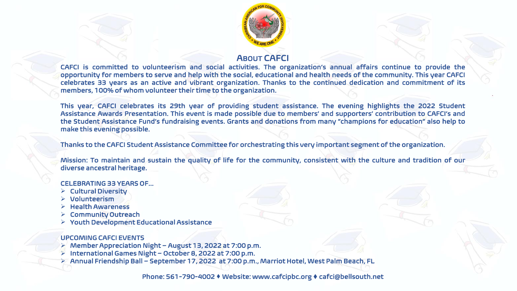

# ABOUT CAFCI

CAFCI is committed to volunteerism and social activities. The organization's annual affairs continue to provide the opportunity for members to serve and help with the social, educational and health needs of the community. This year CAFCI celebrates 33 years as an active and vibrant organization. Thanks to the continued dedication and commitment of its members, 100% of whom volunteer their time to the organization.

This year, CAFCI celebrates its 29th year of providing student assistance. The evening highlights the 2022 Student Assistance Awards Presentation. This event is made possible due to members' and supporters' contribution to CAFCI's and the Student Assistance Fund's fundraising events. Grants and donations from many "champions for education" also help to make this evening possible.

Thanks to the CAFCI Student Assistance Committee for orchestrating this very important segment of the organization.

Mission: To maintain and sustain the quality of life for the community, consistent with the culture and tradition of our diverse ancestral heritage.

#### CELEBRATING 33 YEARS OF...

- ➢ Cultural Diversity
- ➢ Volunteerism
- ➢ Health Awareness
- ➢ Community Outreach
- ➢ Youth Development Educational Assistance

#### UPCOMING CAFCI EVENTS

- ➢ Member Appreciation Night August 13, 2022 at 7:00 p.m.
- ➢ International Games Night October 8, 2022 at 7:00 p.m.
- ➢ Annual Friendship Ball September 17, 2022 at 7:00 p.m., Marriot Hotel, West Palm Beach, FL

Phone: 561-790-4002 ♦ Website: www.cafcipbc.org ♦ cafci@bellsouth.net